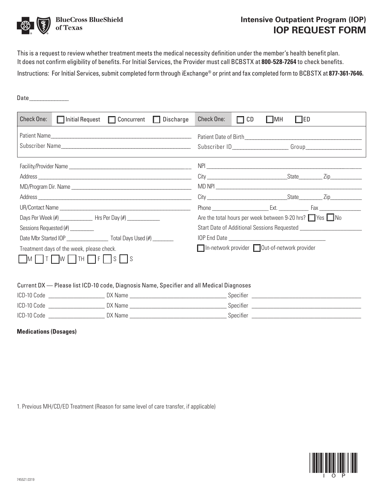

## **Intensive Outpatient Program (IOP) IOP REQUEST FORM**

This is a request to review whether treatment meets the medical necessity definition under the member's health benefit plan. It does not confirm eligibility of benefits. For Initial Services, the Provider must call BCBSTX at **800-528-7264** to check benefits. Instructions: For Initial Services, submit completed form through iExchange® or print and fax completed form to BCBSTX at **877-361-7646.**

 $Date$ 

| <b>Check One:</b><br>Initial Request   Concurrent   Discharge       | $\square$ ED<br>$\Box$ CD<br>Check One:<br>$\Box$ MH |  |  |  |
|---------------------------------------------------------------------|------------------------------------------------------|--|--|--|
| Patient Name                                                        |                                                      |  |  |  |
| Subscriber Name                                                     |                                                      |  |  |  |
|                                                                     |                                                      |  |  |  |
|                                                                     |                                                      |  |  |  |
|                                                                     |                                                      |  |  |  |
|                                                                     |                                                      |  |  |  |
|                                                                     | Phone Ext. Ext. Fax                                  |  |  |  |
| Are the total hours per week between 9-20 hrs? $\Box$ Yes $\Box$ No |                                                      |  |  |  |
| Sessions Requested (#)                                              |                                                      |  |  |  |
|                                                                     |                                                      |  |  |  |
| Treatment days of the week, please check.                           | □ In-network provider □ Out-of-network provider      |  |  |  |
| $ M $ T   $W $   TH   $ F $   $S $   $S$                            |                                                      |  |  |  |

Current DX — Please list ICD-10 code, Diagnosis Name, Specifier and all Medical Diagnoses

| ICD-10 Code | DX Name | Specifier |
|-------------|---------|-----------|
| ICD-10 Code | DX Name | Specifier |
| ICD-10 Code | DX Name | Specifier |

**Medications (Dosages)** 

1. Previous MH/CD/ED Treatment (Reason for same level of care transfer, if applicable)

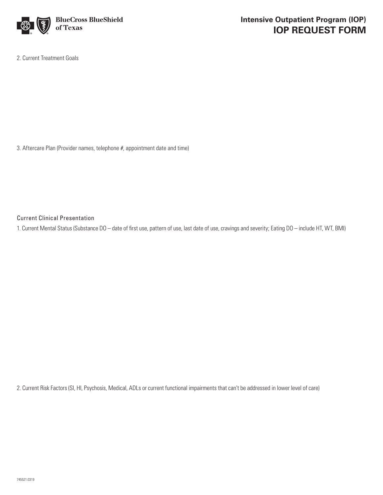

2. Current Treatment Goals

3. Aftercare Plan (Provider names, telephone #, appointment date and time)

Current Clinical Presentation

1. Current Mental Status (Substance DO – date of first use, pattern of use, last date of use, cravings and severity; Eating DO – include HT, WT, BMI)

2. Current Risk Factors (SI, HI, Psychosis, Medical, ADLs or current functional impairments that can't be addressed in lower level of care)